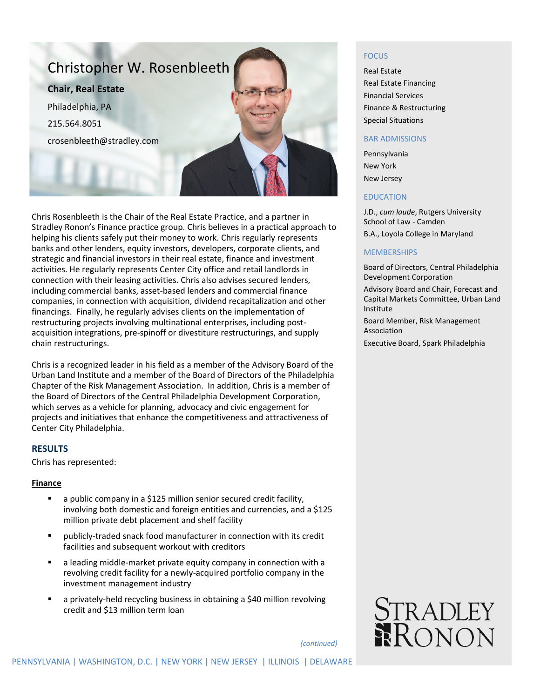

Chris Rosenbleeth is the Chair of the Real Estate Practice, and a partner in Stradley Ronon's Finance practice group. Chris believes in a practical approach to helping his clients safely put their money to work. Chris regularly represents banks and other lenders, equity investors, developers, corporate clients, and strategic and financial investors in their real estate, finance and investment activities. He regularly represents Center City office and retail landlords in connection with their leasing activities. Chris also advises secured lenders, including commercial banks, asset-based lenders and commercial finance companies, in connection with acquisition, dividend recapitalization and other financings. Finally, he regularly advises clients on the implementation of restructuring projects involving multinational enterprises, including postacquisition integrations, pre-spinoff or divestiture restructurings, and supply chain restructurings.

Chris is a recognized leader in his field as a member of the Advisory Board of the Urban Land Institute and a member of the Board of Directors of the Philadelphia Chapter of the Risk Management Association. In addition, Chris is a member of the Board of Directors of the Central Philadelphia Development Corporation, which serves as a vehicle for planning, advocacy and civic engagement for projects and initiatives that enhance the competitiveness and attractiveness of Center City Philadelphia.

## **RESULTS**

Chris has represented:

#### **Finance**

- a public company in a \$125 million senior secured credit facility, involving both domestic and foreign entities and currencies, and a \$125 million private debt placement and shelf facility
- publicly-traded snack food manufacturer in connection with its credit facilities and subsequent workout with creditors
- a leading middle-market private equity company in connection with a revolving credit facility for a newly-acquired portfolio company in the investment management industry
- a privately-held recycling business in obtaining a \$40 million revolving credit and \$13 million term loan

#### FOCUS

Real Estate Real Estate Financing Financial Services Finance & Restructuring Special Situations

#### BAR ADMISSIONS

Pennsylvania New York New Jersey

#### EDUCATION

J.D., *cum laude*, Rutgers University School of Law - Camden B.A., Loyola College in Maryland

#### **MEMBERSHIPS**

Board of Directors, Central Philadelphia Development Corporation

Advisory Board and Chair, Forecast and Capital Markets Committee, Urban Land Institute

Board Member, Risk Management Association

Executive Board, Spark Philadelphia



*(continued)*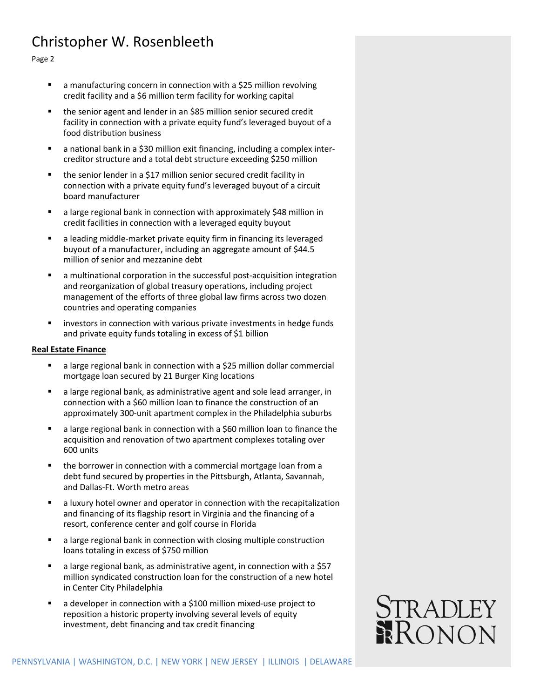# Christopher W. Rosenbleeth

Page 2

- a manufacturing concern in connection with a \$25 million revolving credit facility and a \$6 million term facility for working capital
- the senior agent and lender in an \$85 million senior secured credit facility in connection with a private equity fund's leveraged buyout of a food distribution business
- a national bank in a \$30 million exit financing, including a complex intercreditor structure and a total debt structure exceeding \$250 million
- the senior lender in a \$17 million senior secured credit facility in connection with a private equity fund's leveraged buyout of a circuit board manufacturer
- a large regional bank in connection with approximately \$48 million in credit facilities in connection with a leveraged equity buyout
- a leading middle-market private equity firm in financing its leveraged buyout of a manufacturer, including an aggregate amount of \$44.5 million of senior and mezzanine debt
- a multinational corporation in the successful post-acquisition integration and reorganization of global treasury operations, including project management of the efforts of three global law firms across two dozen countries and operating companies
- **EXTERGHTM** investors in connection with various private investments in hedge funds and private equity funds totaling in excess of \$1 billion

## **Real Estate Finance**

- a large regional bank in connection with a \$25 million dollar commercial mortgage loan secured by 21 Burger King locations
- a large regional bank, as administrative agent and sole lead arranger, in connection with a \$60 million loan to finance the construction of an approximately 300-unit apartment complex in the Philadelphia suburbs
- a large regional bank in connection with a \$60 million loan to finance the acquisition and renovation of two apartment complexes totaling over 600 units
- **the borrower in connection with a commercial mortgage loan from a** debt fund secured by properties in the Pittsburgh, Atlanta, Savannah, and Dallas-Ft. Worth metro areas
- a luxury hotel owner and operator in connection with the recapitalization and financing of its flagship resort in Virginia and the financing of a resort, conference center and golf course in Florida
- a large regional bank in connection with closing multiple construction loans totaling in excess of \$750 million
- a large regional bank, as administrative agent, in connection with a \$57 million syndicated construction loan for the construction of a new hotel in Center City Philadelphia
- a developer in connection with a \$100 million mixed-use project to reposition a historic property involving several levels of equity investment, debt financing and tax credit financing

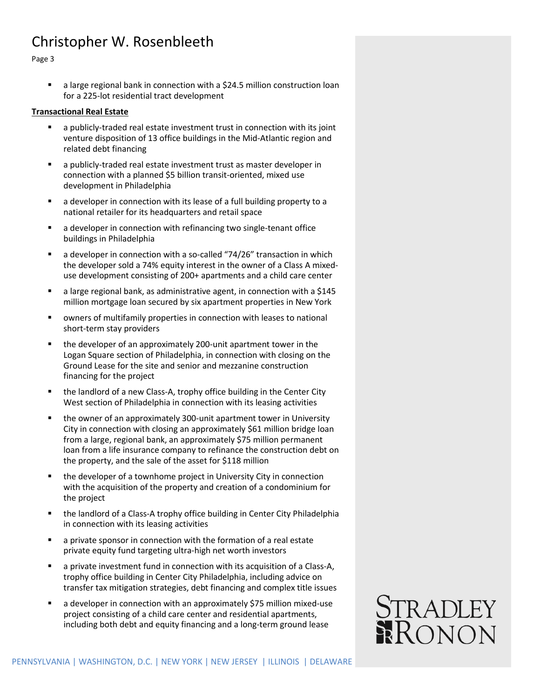## Christopher W. Rosenbleeth

Page 3

 a large regional bank in connection with a \$24.5 million construction loan for a 225-lot residential tract development

### **Transactional Real Estate**

- a publicly-traded real estate investment trust in connection with its joint venture disposition of 13 office buildings in the Mid-Atlantic region and related debt financing
- a publicly-traded real estate investment trust as master developer in connection with a planned \$5 billion transit-oriented, mixed use development in Philadelphia
- a developer in connection with its lease of a full building property to a national retailer for its headquarters and retail space
- a developer in connection with refinancing two single-tenant office buildings in Philadelphia
- a developer in connection with a so-called "74/26" transaction in which the developer sold a 74% equity interest in the owner of a Class A mixeduse development consisting of 200+ apartments and a child care center
- a large regional bank, as administrative agent, in connection with a \$145 million mortgage loan secured by six apartment properties in New York
- owners of multifamily properties in connection with leases to national short-term stay providers
- the developer of an approximately 200-unit apartment tower in the Logan Square section of Philadelphia, in connection with closing on the Ground Lease for the site and senior and mezzanine construction financing for the project
- the landlord of a new Class-A, trophy office building in the Center City West section of Philadelphia in connection with its leasing activities
- the owner of an approximately 300-unit apartment tower in University City in connection with closing an approximately \$61 million bridge loan from a large, regional bank, an approximately \$75 million permanent loan from a life insurance company to refinance the construction debt on the property, and the sale of the asset for \$118 million
- **the developer of a townhome project in University City in connection** with the acquisition of the property and creation of a condominium for the project
- the landlord of a Class-A trophy office building in Center City Philadelphia in connection with its leasing activities
- a private sponsor in connection with the formation of a real estate private equity fund targeting ultra-high net worth investors
- a private investment fund in connection with its acquisition of a Class-A, trophy office building in Center City Philadelphia, including advice on transfer tax mitigation strategies, debt financing and complex title issues
- a developer in connection with an approximately \$75 million mixed-use project consisting of a child care center and residential apartments, including both debt and equity financing and a long-term ground lease